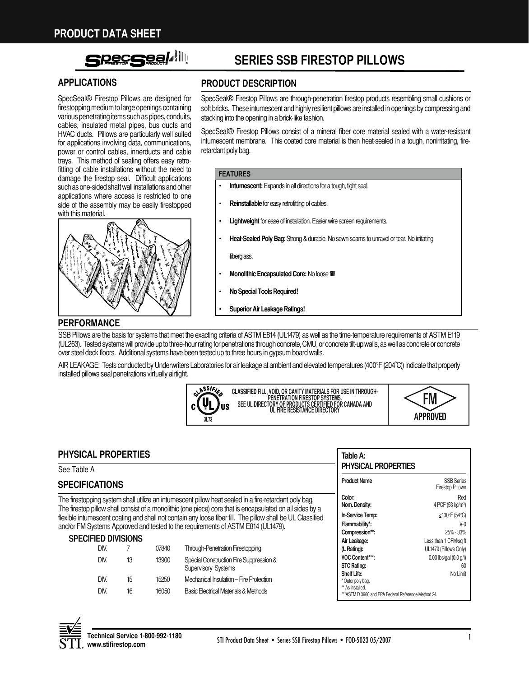# **Pecssel Allege**

SpecSeal® Firestop Pillows are designed for firestopping medium to large openings containing various penetrating items such as pipes, conduits, cables, insulated metal pipes, bus ducts and HVAC ducts. Pillows are particularly well suited for applications involving data, communications, power or control cables, innerducts and cable trays. This method of sealing offers easy retrofitting of cable installations without the need to damage the firestop seal. Difficult applications such as one-sided shaft wall installations and other applications where access is restricted to one side of the assembly may be easily firestopped with this material.



# **SerieS SSB FireStop pillowS**

# **ApplicAtionS product deScription**

SpecSeal® Firestop Pillows are through-penetration firestop products resembling small cushions or soft bricks. These intumescent and highly resilient pillows are installed in openings by compressing and stacking into the opening in a brick-like fashion.

SpecSeal<sup>®</sup> Firestop Pillows consist of a mineral fiber core material sealed with a water-resistant intumescent membrane. This coated core material is then heat-sealed in a tough, nonirritating, fireretardant poly bag.

#### **FeAtureS**

- **Intumescent:** Expands in all directions for a tough, tight seal.
- **Reinstallable** for easy retrofitting of cables.
- **Lightweight** for ease of installation. Easier wire screen requirements.
- **Heat-Sealed Poly Bag:** Strong & durable. No sewn seams to unravel or tear. No irritating

fiberglass.

- **Monolithic Encapsulated Core: No loose fill!**
- **No Special Tools Required!**
- **Superior Air Leakage Ratings!**

### **perFormAnce**

SSB Pillows are the basis for systems that meet the exacting criteria of ASTM E814 (UL1479) as well as the time-temperature requirements of ASTM E119 (UL263). Tested systems will provide up to three-hour rating for penetrations through concrete, CMU, or concrete tilt-up walls, as well as concrete or concrete over steel deck floors. Additional systems have been tested up to three hours in gypsum board walls.

AIR LEAKAGE: Tests conducted by Underwriters Laboratories for air leakage at ambient and elevated temperatures (400°F (204°C)) indicate that properly installed pillows seal penetrations virtually airtight.





\*\*\*ASTM D 3960 and EPA Federal Reference Method 24.

| <b>PHYSICAL PROPERTIES</b>                                                                                                                                                                                         |                                                                                              | Table A:                |                                                 |                                                                              |                       |
|--------------------------------------------------------------------------------------------------------------------------------------------------------------------------------------------------------------------|----------------------------------------------------------------------------------------------|-------------------------|-------------------------------------------------|------------------------------------------------------------------------------|-----------------------|
| See Table A                                                                                                                                                                                                        |                                                                                              | PHYSICAL PROPERTIES     |                                                 |                                                                              |                       |
| <b>SPECIFICATIONS</b>                                                                                                                                                                                              |                                                                                              |                         | <b>Product Name</b>                             | <b>SSB Series</b><br><b>Firestop Pillows</b>                                 |                       |
| The firestopping system shall utilize an intumescent pillow heat sealed in a fire-retardant poly bag.<br>The firestop pillow shall consist of a monolithic (one piece) core that is encapsulated on all sides by a |                                                                                              | Color:<br>Nom. Density: | Red<br>4 PCF $(53 \text{ kg/m}^3)$              |                                                                              |                       |
| flexible intumescent coating and shall not contain any loose fiber fill. The pillow shall be UL Classified                                                                                                         |                                                                                              | In-Service Temp:        | $\leq$ 130°F (54°C)                             |                                                                              |                       |
| and/or FM Systems Approved and tested to the requirements of ASTM E814 (UL1479).                                                                                                                                   |                                                                                              | Flammability*.          | $V-0$                                           |                                                                              |                       |
|                                                                                                                                                                                                                    |                                                                                              | Compression**:          | 25% - 33%                                       |                                                                              |                       |
| <b>SPECIFIED DIVISIONS</b>                                                                                                                                                                                         |                                                                                              |                         | Air Leakage:                                    | Less than 1 CFM/sq ft                                                        |                       |
| DIV.                                                                                                                                                                                                               |                                                                                              | 07840                   | <b>Through-Penetration Firestopping</b>         | (L Rating):                                                                  | UL1479 (Pillows Only) |
|                                                                                                                                                                                                                    | Special Construction Fire Suppression &<br>DIV.<br>13900<br>13<br><b>Supervisory Systems</b> | VOC Content***:         | $0.00$ lbs/gal $(0.0 q/l)$                      |                                                                              |                       |
|                                                                                                                                                                                                                    |                                                                                              |                         |                                                 | <b>STC Rating:</b>                                                           | -60                   |
|                                                                                                                                                                                                                    |                                                                                              |                         |                                                 | Shelf Life:                                                                  | No Limit              |
| DIV.                                                                                                                                                                                                               | 15                                                                                           | 15250                   | Mechanical Insulation - Fire Protection         | * Outer poly bag.                                                            |                       |
| DIV.                                                                                                                                                                                                               | 16                                                                                           | 16050                   | <b>Basic Electrical Materials &amp; Methods</b> | ** As installed.<br><b>****CTMD 3000 and EDA Endered Deference Method 04</b> |                       |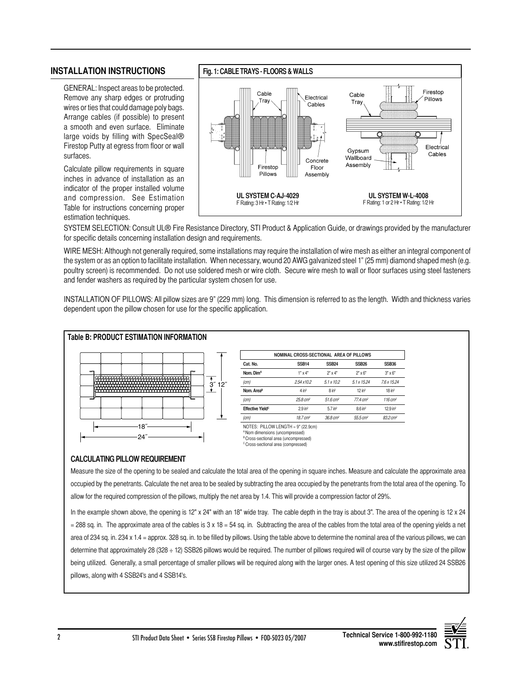### **inStAllAtion inStructionS**

GENERAL: Inspect areas to be protected. Remove any sharp edges or protruding wires or ties that could damage poly bags. Arrange cables (if possible) to present a smooth and even surface. Eliminate large voids by filling with SpecSeal® Firestop Putty at egress from floor or wall surfaces.

Calculate pillow requirements in square inches in advance of installation as an indicator of the proper installed volume and compression. See Estimation Table for instructions concerning proper estimation techniques.



SYSTEM SELECTION: Consult UL® Fire Resistance Directory, STI Product & Application Guide, or drawings provided by the manufacturer for specific details concerning installation design and requirements.

WIRE MESH: Although not generally required, some installations may require the installation of wire mesh as either an integral component of the system or as an option to facilitate installation. When necessary, wound 20 AWG galvanized steel 1" (25 mm) diamond shaped mesh (e.g. poultry screen) is recommended. Do not use soldered mesh or wire cloth. Secure wire mesh to wall or floor surfaces using steel fasteners and fender washers as required by the particular system chosen for use.

INSTALLATION OF PILLOWS: All pillow sizes are 9" (229 mm) long. This dimension is referred to as the length. Width and thickness varies dependent upon the pillow chosen for use for the specific application. 



#### **CALCULATING PILLOW REQUIREMENT**

Measure the size of the opening to be sealed and calculate the total area of the opening in square inches. Measure and calculate the approximate area occupied by the penetrants. Calculate the net area to be sealed by subtracting the area occupied by the penetrants from the total area of the opening. To allow for the required compression of the pillows, multiply the net area by 1.4. This will provide a compression factor of 29%.

In the example shown above, the opening is 12" x 24" with an 18" wide tray. The cable depth in the tray is about 3". The area of the opening is 12 x 24  $=$  288 sq. in. The approximate area of the cables is 3 x 18 = 54 sq. in. Subtracting the area of the cables from the total area of the opening yields a net area of 234 sq. in. 234 x 1.4 = approx. 328 sq. in. to be filled by pillows. Using the table above to determine the nominal area of the various pillows, we can determine that approximately 28 (328 ÷ 12) SSB26 pillows would be required. The number of pillows required will of course vary by the size of the pillow being utilized. Generally, a small percentage of smaller pillows will be required along with the larger ones. A test opening of this size utilized 24 SSB26 pillows, along with 4 SSB24's and 4 SSB14's.



**www.stifirestop.com**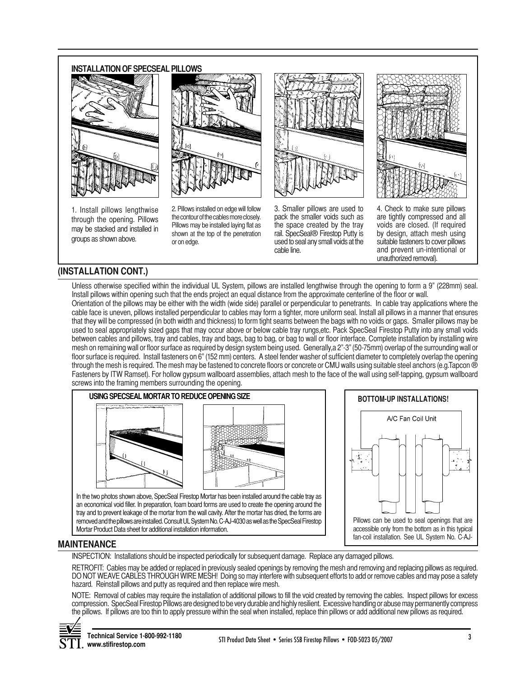#### **INSTALLATION OF SPECSEAL PILLOWS**





1. Install pillows lengthwise through the opening. Pillows may be stacked and installed in groups as shown above.

2. Pillows installed on edge will follow the contour of the cables more closely. Pillows may be installed laying flat as shown at the top of the penetration or on edge.



3. Smaller pillows are used to pack the smaller voids such as the space created by the tray rail. SpecSeal® Firestop Putty is used to seal any small voids at the cable line.



4. Check to make sure pillows are tightly compressed and all voids are closed. (If required by design, attach mesh using suitable fasteners to cover pillows and prevent un-intentional or unauthorized removal).

# **(inStAllAtion cont.)**

Unless otherwise specified within the individual UL System, pillows are installed lengthwise through the opening to form a 9" (228mm) seal. Install pillows within opening such that the ends project an equal distance from the approximate centerline of the floor or wall.

Orientation of the pillows may be either with the width (wide side) parallel or perpendicular to penetrants. In cable tray applications where the cable face is uneven, pillows installed perpendicular to cables may form a tighter, more uniform seal. Install all pillows in a manner that ensures that they will be compressed (in both width and thickness) to form tight seams between the bags with no voids or gaps. Smaller pillows may be used to seal appropriately sized gaps that may occur above or below cable tray rungs,etc. Pack SpecSeal Firestop Putty into any small voids between cables and pillows, tray and cables, tray and bags, bag to bag, or bag to wall or floor interface. Complete installation by installing wire mesh on remaining wall or floor surface as required by design systembeing used. Generally,a 2"-3" (50-75mm) overlap of the surrounding wall or floor surface is required. Install fasteners on 6" (152 mm) centers. A steel fender washer of sufficient diameter to completely overlap the opening through the mesh is required. The mesh may be fastened to concrete floors or concrete or CMU walls using suitable steel anchors (e.g.Tapcon ® Fasteners by ITW Ramset). For hollow gypsum wallboard assemblies, attach mesh to the face of the wall using self-tapping, gypsum wallboard screws into the framing members surrounding the opening.



In the two photos shown above, SpecSeal Firestop Mortar has been installed around the cable tray as an economical void filler. In preparation, foam board forms are used to create the opening around the tray and to prevent leakage of the mortar from the wall cavity. After the mortar has dried, the forms are removed and the pillows are installed. Consult UL System No. C-AJ-4030 as well as the SpecSeal Firestop Mortar Product Data sheet for additional installation information.



### **mAintenAnce**

INSPECTION: Installations should be inspected periodically for subsequent damage. Replace any damaged pillows.

RETROFIT: Cables may be added or replaced in previously sealed openings by removing the mesh and removing and replacing pillows as required. DO NOT WEAVE CABLES THROUGH WIRE MESH! Doing so may interfere with subsequent efforts to add or remove cables and may pose a safety hazard. Reinstall pillows and putty as required and then replace wire mesh.

NOTE: Removal of cables may require the installation of additional pillows to fill the void created by removing the cables. Inspect pillows for excess compression. SpecSeal Firestop Pillows are designed to be very durable and highly resilient. Excessive handling or abuse may permanently compress the pillows. If pillows are too thin to apply pressure within the seal when installed, replace thin pillows or add additional new pillows as required.